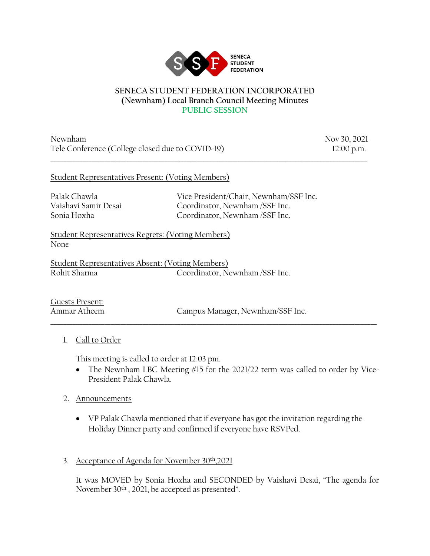

#### **SENECA STUDENT FEDERATION INCORPORATED (Newnham) Local Branch Council Meeting Minutes PUBLIC SESSION**

\_\_\_\_\_\_\_\_\_\_\_\_\_\_\_\_\_\_\_\_\_\_\_\_\_\_\_\_\_\_\_\_\_\_\_\_\_\_\_\_\_\_\_\_\_\_\_\_\_\_\_\_\_\_\_\_\_\_\_\_\_\_\_\_\_\_\_\_\_\_\_\_\_\_\_\_\_\_\_\_\_\_\_\_\_\_\_\_\_\_\_\_\_\_\_\_\_\_\_\_

Newnham Nov 30, 2021 Tele Conference (College closed due to COVID-19) 12:00 p.m.

## Student Representatives Present: (Voting Members)

Palak Chawla Vice President/Chair, Newnham/SSF Inc. Vaishavi Samir Desai Coordinator, Newnham /SSF Inc. Sonia Hoxha Coordinator, Newnham /SSF Inc.

Student Representatives Regrets: (Voting Members) None

Student Representatives Absent: (Voting Members) Rohit Sharma Coordinator, Newnham /SSF Inc.

Guests Present:

Ammar Atheem Campus Manager, Newnham/SSF Inc.

# 1. Call to Order

This meeting is called to order at 12:03 pm.

• The Newnham LBC Meeting #15 for the 2021/22 term was called to order by Vice-President Palak Chawla.

 $\_$  ,  $\_$  ,  $\_$  ,  $\_$  ,  $\_$  ,  $\_$  ,  $\_$  ,  $\_$  ,  $\_$  ,  $\_$  ,  $\_$  ,  $\_$  ,  $\_$  ,  $\_$  ,  $\_$  ,  $\_$  ,  $\_$  ,  $\_$  ,  $\_$  ,  $\_$  ,  $\_$  ,  $\_$  ,  $\_$  ,  $\_$  ,  $\_$  ,  $\_$  ,  $\_$  ,  $\_$  ,  $\_$  ,  $\_$  ,  $\_$  ,  $\_$  ,  $\_$  ,  $\_$  ,  $\_$  ,  $\_$  ,  $\_$  ,

- 2. Announcements
	- VP Palak Chawla mentioned that if everyone has got the invitation regarding the Holiday Dinner party and confirmed if everyone have RSVPed.
- 3. Acceptance of Agenda for November 30th,2021

It was MOVED by Sonia Hoxha and SECONDED by Vaishavi Desai, "The agenda for November 30th , 2021, be accepted as presented".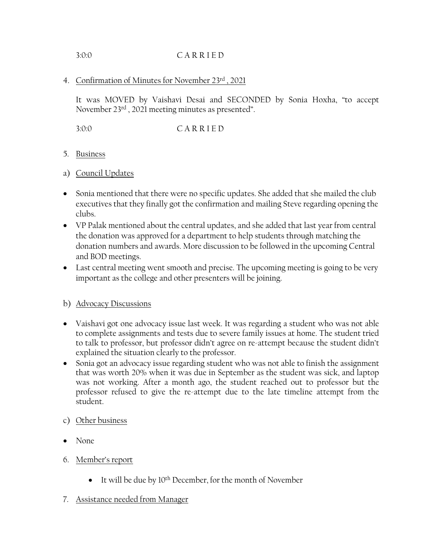### 3:0:0 C A R R I E D

## 4. Confirmation of Minutes for November 23rd , 2021

It was MOVED by Vaishavi Desai and SECONDED by Sonia Hoxha, "to accept November 23rd , 2021 meeting minutes as presented".

3:0:0 C A R R I E D

### 5. Business

- a) Council Updates
- Sonia mentioned that there were no specific updates. She added that she mailed the club executives that they finally got the confirmation and mailing Steve regarding opening the clubs.
- VP Palak mentioned about the central updates, and she added that last year from central the donation was approved for a department to help students through matching the donation numbers and awards. More discussion to be followed in the upcoming Central and BOD meetings.
- Last central meeting went smooth and precise. The upcoming meeting is going to be very important as the college and other presenters will be joining.

# b) Advocacy Discussions

- Vaishavi got one advocacy issue last week. It was regarding a student who was not able to complete assignments and tests due to severe family issues at home. The student tried to talk to professor, but professor didn't agree on re-attempt because the student didn't explained the situation clearly to the professor.
- Sonia got an advocacy issue regarding student who was not able to finish the assignment that was worth 20% when it was due in September as the student was sick, and laptop was not working. After a month ago, the student reached out to professor but the professor refused to give the re-attempt due to the late timeline attempt from the student.
- c) Other business
- None
- 6. Member's report
	- It will be due by  $10^{th}$  December, for the month of November
- 7. Assistance needed from Manager